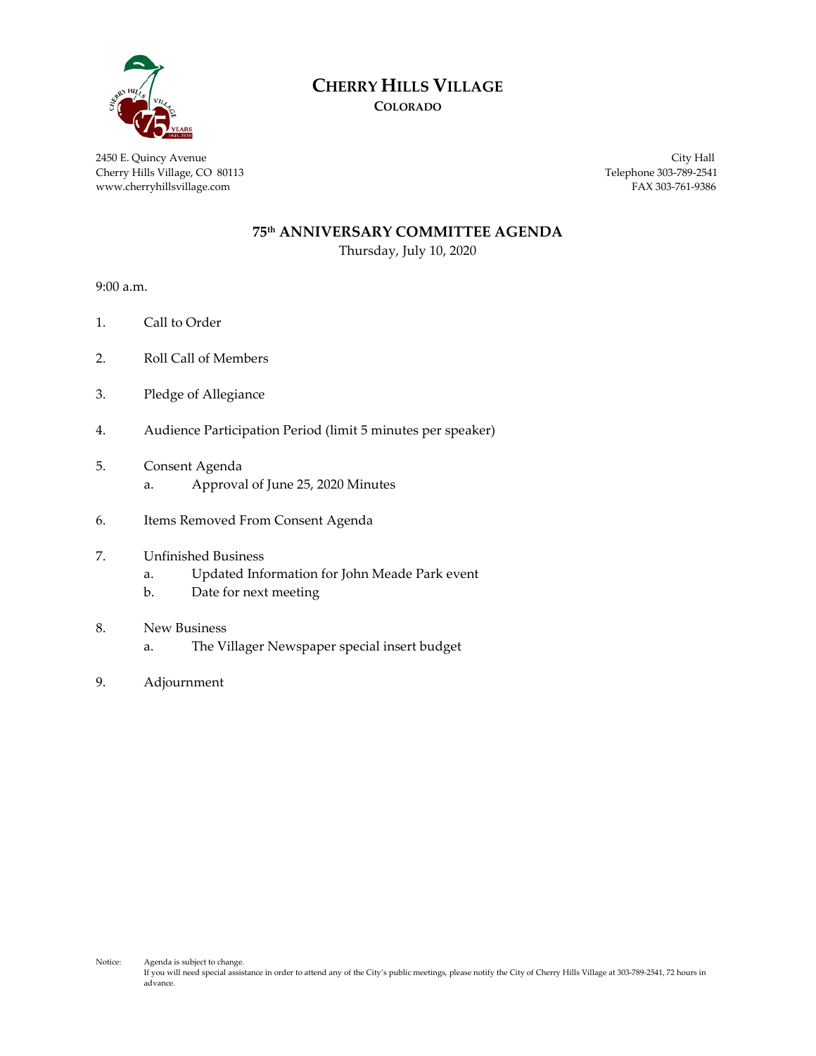

## **CHERRY HILLS VILLAGE**

**COLORADO**

2450 E. Quincy Avenue City Hall Cherry Hills Village, CO 80113 Telephone 303-789-2541 www.cherryhillsvillage.com FAX 303-761-9386

#### **75th ANNIVERSARY COMMITTEE AGENDA**

Thursday, July 10, 2020

9:00 a.m.

- 1. Call to Order
- 2. Roll Call of Members
- 3. Pledge of Allegiance
- 4. Audience Participation Period (limit 5 minutes per speaker)
- 5. Consent Agenda
	- a. Approval of June 25, 2020 Minutes
- 6. Items Removed From Consent Agenda
- 7. Unfinished Business
	- a. Updated Information for John Meade Park event
	- b. Date for next meeting
- 8. New Business
	- a. The Villager Newspaper special insert budget
- 9. Adjournment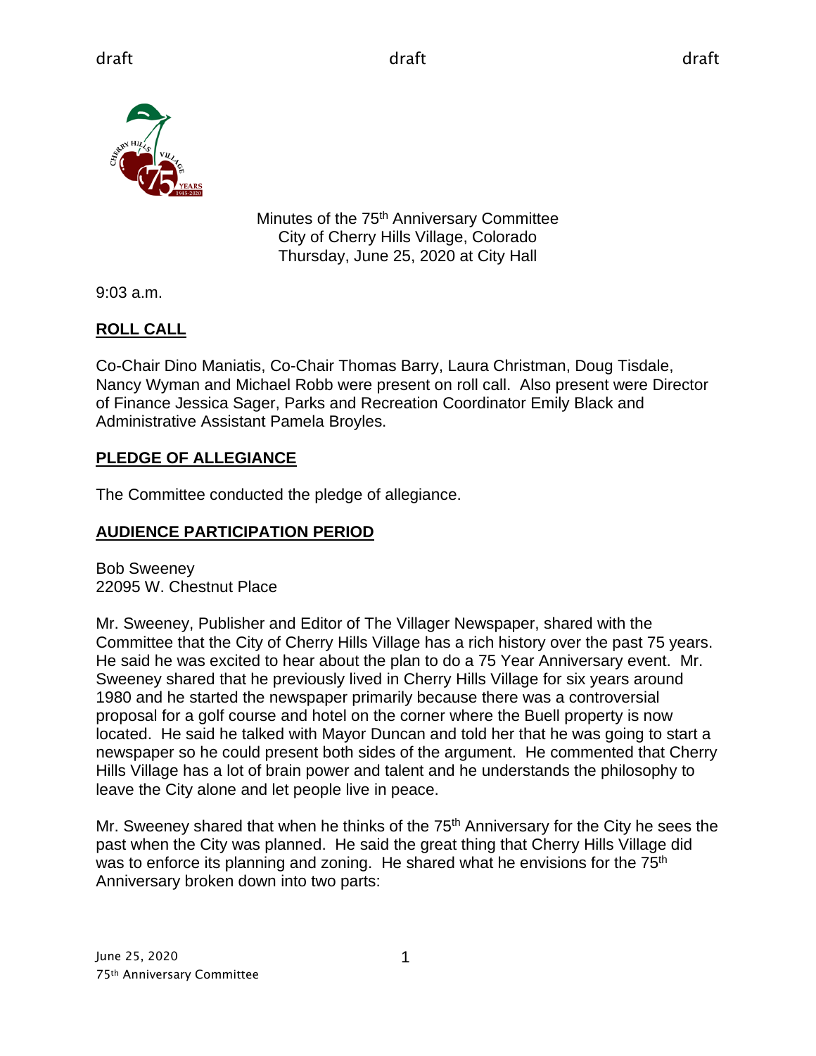

Minutes of the 75<sup>th</sup> Anniversary Committee City of Cherry Hills Village, Colorado Thursday, June 25, 2020 at City Hall

9:03 a.m.

## **ROLL CALL**

Co-Chair Dino Maniatis, Co-Chair Thomas Barry, Laura Christman, Doug Tisdale, Nancy Wyman and Michael Robb were present on roll call. Also present were Director of Finance Jessica Sager, Parks and Recreation Coordinator Emily Black and Administrative Assistant Pamela Broyles.

## **PLEDGE OF ALLEGIANCE**

The Committee conducted the pledge of allegiance.

## **AUDIENCE PARTICIPATION PERIOD**

Bob Sweeney 22095 W. Chestnut Place

Mr. Sweeney, Publisher and Editor of The Villager Newspaper, shared with the Committee that the City of Cherry Hills Village has a rich history over the past 75 years. He said he was excited to hear about the plan to do a 75 Year Anniversary event. Mr. Sweeney shared that he previously lived in Cherry Hills Village for six years around 1980 and he started the newspaper primarily because there was a controversial proposal for a golf course and hotel on the corner where the Buell property is now located. He said he talked with Mayor Duncan and told her that he was going to start a newspaper so he could present both sides of the argument. He commented that Cherry Hills Village has a lot of brain power and talent and he understands the philosophy to leave the City alone and let people live in peace.

Mr. Sweeney shared that when he thinks of the 75<sup>th</sup> Anniversary for the City he sees the past when the City was planned. He said the great thing that Cherry Hills Village did was to enforce its planning and zoning. He shared what he envisions for the  $75<sup>th</sup>$ Anniversary broken down into two parts: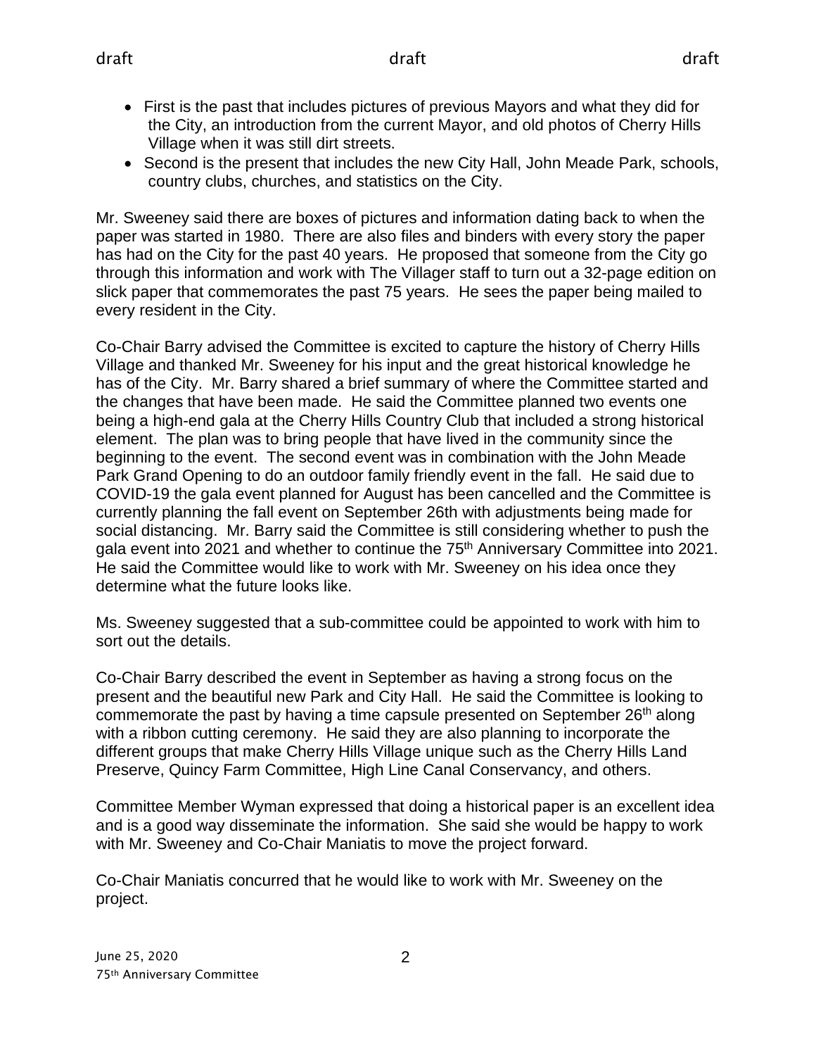- First is the past that includes pictures of previous Mayors and what they did for the City, an introduction from the current Mayor, and old photos of Cherry Hills Village when it was still dirt streets.
- Second is the present that includes the new City Hall, John Meade Park, schools, country clubs, churches, and statistics on the City.

Mr. Sweeney said there are boxes of pictures and information dating back to when the paper was started in 1980. There are also files and binders with every story the paper has had on the City for the past 40 years. He proposed that someone from the City go through this information and work with The Villager staff to turn out a 32-page edition on slick paper that commemorates the past 75 years. He sees the paper being mailed to every resident in the City.

Co-Chair Barry advised the Committee is excited to capture the history of Cherry Hills Village and thanked Mr. Sweeney for his input and the great historical knowledge he has of the City. Mr. Barry shared a brief summary of where the Committee started and the changes that have been made. He said the Committee planned two events one being a high-end gala at the Cherry Hills Country Club that included a strong historical element. The plan was to bring people that have lived in the community since the beginning to the event. The second event was in combination with the John Meade Park Grand Opening to do an outdoor family friendly event in the fall. He said due to COVID-19 the gala event planned for August has been cancelled and the Committee is currently planning the fall event on September 26th with adjustments being made for social distancing. Mr. Barry said the Committee is still considering whether to push the gala event into 2021 and whether to continue the 75<sup>th</sup> Anniversary Committee into 2021. He said the Committee would like to work with Mr. Sweeney on his idea once they determine what the future looks like.

Ms. Sweeney suggested that a sub-committee could be appointed to work with him to sort out the details.

Co-Chair Barry described the event in September as having a strong focus on the present and the beautiful new Park and City Hall. He said the Committee is looking to commemorate the past by having a time capsule presented on September 26<sup>th</sup> along with a ribbon cutting ceremony. He said they are also planning to incorporate the different groups that make Cherry Hills Village unique such as the Cherry Hills Land Preserve, Quincy Farm Committee, High Line Canal Conservancy, and others.

Committee Member Wyman expressed that doing a historical paper is an excellent idea and is a good way disseminate the information. She said she would be happy to work with Mr. Sweeney and Co-Chair Maniatis to move the project forward.

Co-Chair Maniatis concurred that he would like to work with Mr. Sweeney on the project.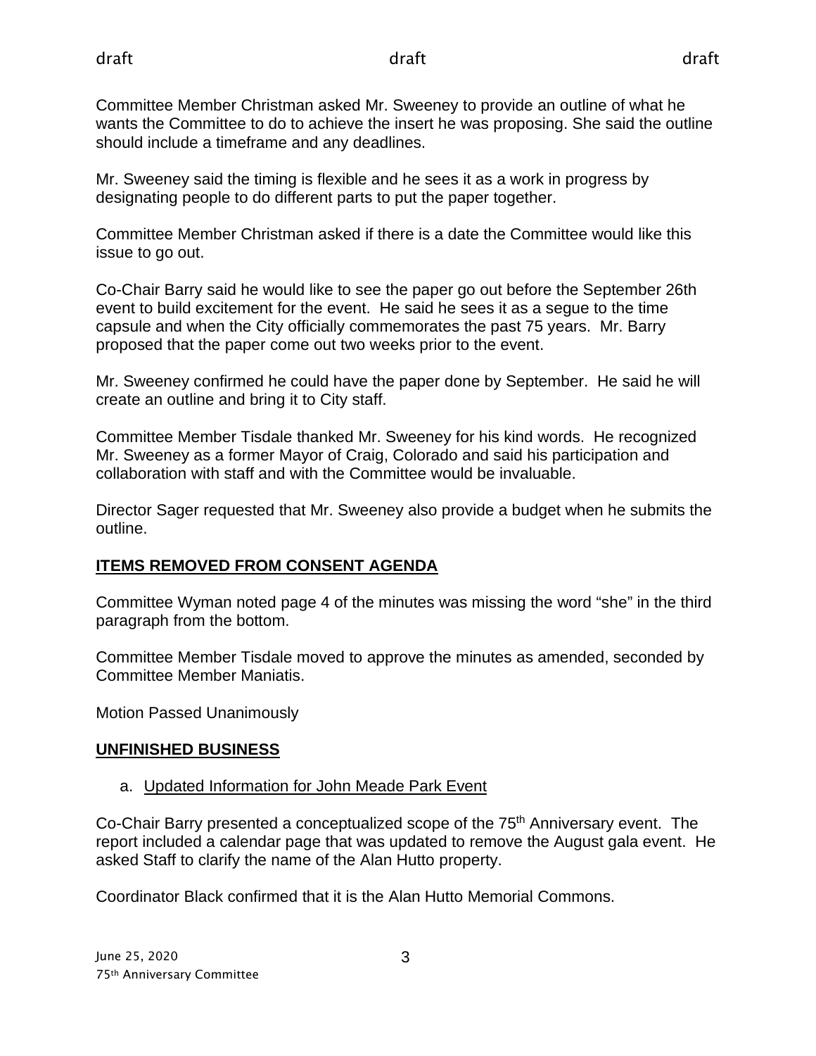Committee Member Christman asked Mr. Sweeney to provide an outline of what he wants the Committee to do to achieve the insert he was proposing. She said the outline should include a timeframe and any deadlines.

Mr. Sweeney said the timing is flexible and he sees it as a work in progress by designating people to do different parts to put the paper together.

Committee Member Christman asked if there is a date the Committee would like this issue to go out.

Co-Chair Barry said he would like to see the paper go out before the September 26th event to build excitement for the event. He said he sees it as a segue to the time capsule and when the City officially commemorates the past 75 years. Mr. Barry proposed that the paper come out two weeks prior to the event.

Mr. Sweeney confirmed he could have the paper done by September. He said he will create an outline and bring it to City staff.

Committee Member Tisdale thanked Mr. Sweeney for his kind words. He recognized Mr. Sweeney as a former Mayor of Craig, Colorado and said his participation and collaboration with staff and with the Committee would be invaluable.

Director Sager requested that Mr. Sweeney also provide a budget when he submits the outline.

## **ITEMS REMOVED FROM CONSENT AGENDA**

Committee Wyman noted page 4 of the minutes was missing the word "she" in the third paragraph from the bottom.

Committee Member Tisdale moved to approve the minutes as amended, seconded by Committee Member Maniatis.

Motion Passed Unanimously

### **UNFINISHED BUSINESS**

## a. Updated Information for John Meade Park Event

Co-Chair Barry presented a conceptualized scope of the 75th Anniversary event. The report included a calendar page that was updated to remove the August gala event. He asked Staff to clarify the name of the Alan Hutto property.

Coordinator Black confirmed that it is the Alan Hutto Memorial Commons.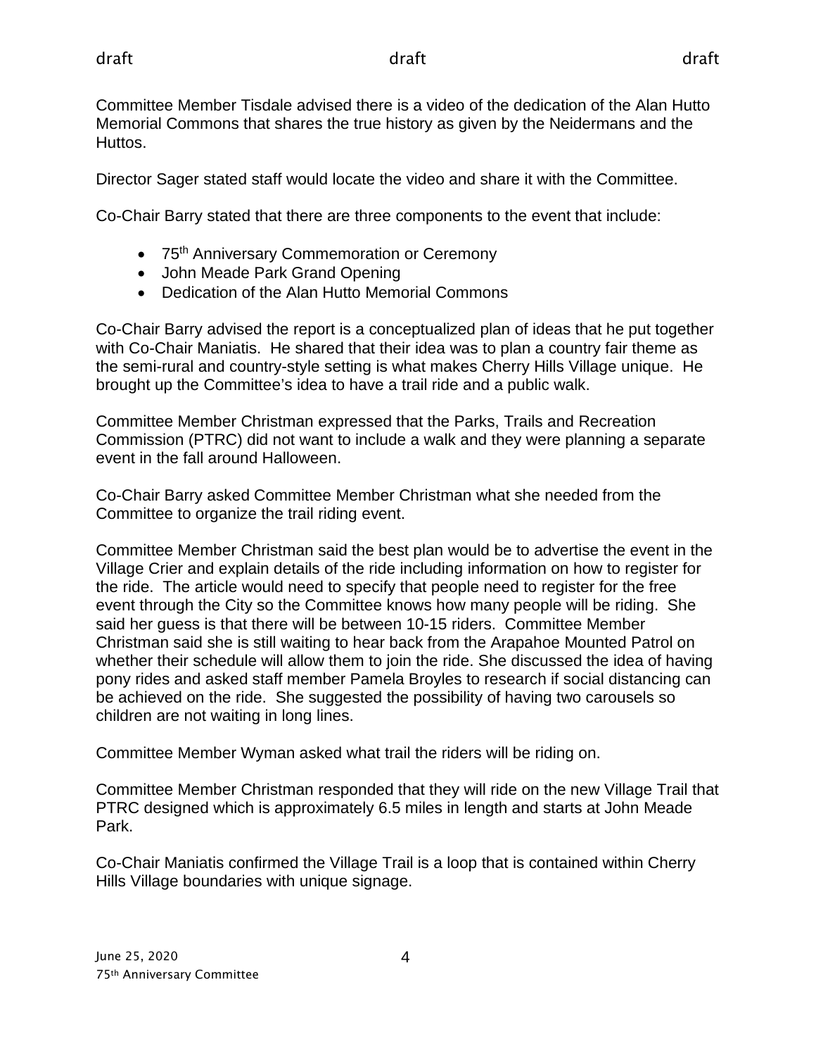Committee Member Tisdale advised there is a video of the dedication of the Alan Hutto Memorial Commons that shares the true history as given by the Neidermans and the Huttos.

Director Sager stated staff would locate the video and share it with the Committee.

Co-Chair Barry stated that there are three components to the event that include:

- 75<sup>th</sup> Anniversary Commemoration or Ceremony
- John Meade Park Grand Opening
- Dedication of the Alan Hutto Memorial Commons

Co-Chair Barry advised the report is a conceptualized plan of ideas that he put together with Co-Chair Maniatis. He shared that their idea was to plan a country fair theme as the semi-rural and country-style setting is what makes Cherry Hills Village unique. He brought up the Committee's idea to have a trail ride and a public walk.

Committee Member Christman expressed that the Parks, Trails and Recreation Commission (PTRC) did not want to include a walk and they were planning a separate event in the fall around Halloween.

Co-Chair Barry asked Committee Member Christman what she needed from the Committee to organize the trail riding event.

Committee Member Christman said the best plan would be to advertise the event in the Village Crier and explain details of the ride including information on how to register for the ride. The article would need to specify that people need to register for the free event through the City so the Committee knows how many people will be riding. She said her guess is that there will be between 10-15 riders. Committee Member Christman said she is still waiting to hear back from the Arapahoe Mounted Patrol on whether their schedule will allow them to join the ride. She discussed the idea of having pony rides and asked staff member Pamela Broyles to research if social distancing can be achieved on the ride. She suggested the possibility of having two carousels so children are not waiting in long lines.

Committee Member Wyman asked what trail the riders will be riding on.

Committee Member Christman responded that they will ride on the new Village Trail that PTRC designed which is approximately 6.5 miles in length and starts at John Meade Park.

Co-Chair Maniatis confirmed the Village Trail is a loop that is contained within Cherry Hills Village boundaries with unique signage.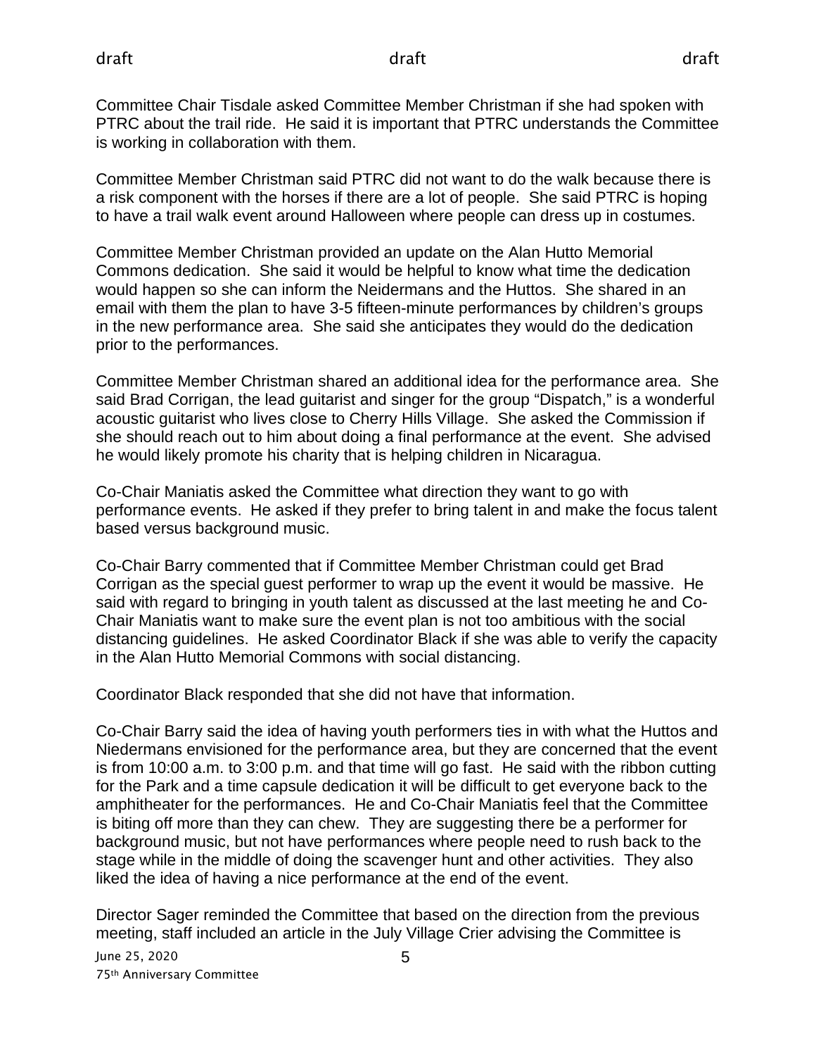Committee Chair Tisdale asked Committee Member Christman if she had spoken with PTRC about the trail ride. He said it is important that PTRC understands the Committee is working in collaboration with them.

Committee Member Christman said PTRC did not want to do the walk because there is a risk component with the horses if there are a lot of people. She said PTRC is hoping to have a trail walk event around Halloween where people can dress up in costumes.

Committee Member Christman provided an update on the Alan Hutto Memorial Commons dedication. She said it would be helpful to know what time the dedication would happen so she can inform the Neidermans and the Huttos. She shared in an email with them the plan to have 3-5 fifteen-minute performances by children's groups in the new performance area. She said she anticipates they would do the dedication prior to the performances.

Committee Member Christman shared an additional idea for the performance area. She said Brad Corrigan, the lead guitarist and singer for the group "Dispatch," is a wonderful acoustic guitarist who lives close to Cherry Hills Village. She asked the Commission if she should reach out to him about doing a final performance at the event. She advised he would likely promote his charity that is helping children in Nicaragua.

Co-Chair Maniatis asked the Committee what direction they want to go with performance events. He asked if they prefer to bring talent in and make the focus talent based versus background music.

Co-Chair Barry commented that if Committee Member Christman could get Brad Corrigan as the special guest performer to wrap up the event it would be massive. He said with regard to bringing in youth talent as discussed at the last meeting he and Co-Chair Maniatis want to make sure the event plan is not too ambitious with the social distancing guidelines. He asked Coordinator Black if she was able to verify the capacity in the Alan Hutto Memorial Commons with social distancing.

Coordinator Black responded that she did not have that information.

Co-Chair Barry said the idea of having youth performers ties in with what the Huttos and Niedermans envisioned for the performance area, but they are concerned that the event is from 10:00 a.m. to 3:00 p.m. and that time will go fast. He said with the ribbon cutting for the Park and a time capsule dedication it will be difficult to get everyone back to the amphitheater for the performances. He and Co-Chair Maniatis feel that the Committee is biting off more than they can chew. They are suggesting there be a performer for background music, but not have performances where people need to rush back to the stage while in the middle of doing the scavenger hunt and other activities. They also liked the idea of having a nice performance at the end of the event.

Director Sager reminded the Committee that based on the direction from the previous meeting, staff included an article in the July Village Crier advising the Committee is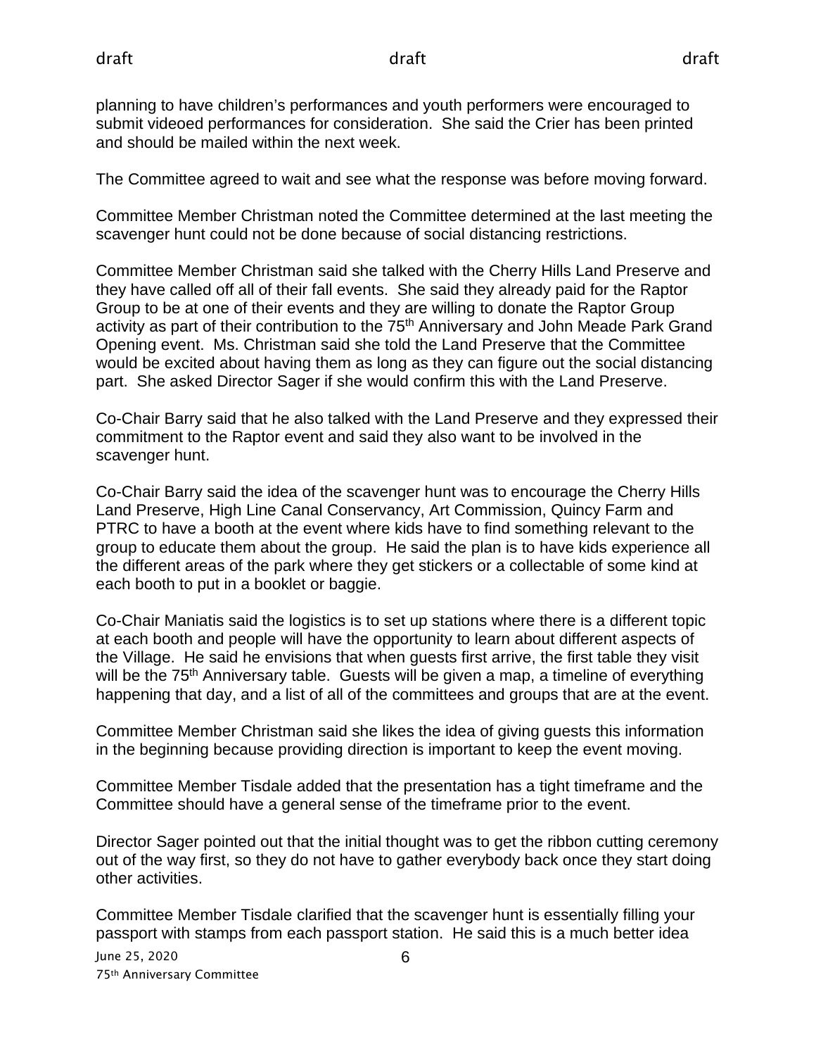planning to have children's performances and youth performers were encouraged to submit videoed performances for consideration. She said the Crier has been printed and should be mailed within the next week.

The Committee agreed to wait and see what the response was before moving forward.

Committee Member Christman noted the Committee determined at the last meeting the scavenger hunt could not be done because of social distancing restrictions.

Committee Member Christman said she talked with the Cherry Hills Land Preserve and they have called off all of their fall events. She said they already paid for the Raptor Group to be at one of their events and they are willing to donate the Raptor Group activity as part of their contribution to the 75<sup>th</sup> Anniversary and John Meade Park Grand Opening event. Ms. Christman said she told the Land Preserve that the Committee would be excited about having them as long as they can figure out the social distancing part. She asked Director Sager if she would confirm this with the Land Preserve.

Co-Chair Barry said that he also talked with the Land Preserve and they expressed their commitment to the Raptor event and said they also want to be involved in the scavenger hunt.

Co-Chair Barry said the idea of the scavenger hunt was to encourage the Cherry Hills Land Preserve, High Line Canal Conservancy, Art Commission, Quincy Farm and PTRC to have a booth at the event where kids have to find something relevant to the group to educate them about the group. He said the plan is to have kids experience all the different areas of the park where they get stickers or a collectable of some kind at each booth to put in a booklet or baggie.

Co-Chair Maniatis said the logistics is to set up stations where there is a different topic at each booth and people will have the opportunity to learn about different aspects of the Village. He said he envisions that when guests first arrive, the first table they visit will be the 75<sup>th</sup> Anniversary table. Guests will be given a map, a timeline of everything happening that day, and a list of all of the committees and groups that are at the event.

Committee Member Christman said she likes the idea of giving guests this information in the beginning because providing direction is important to keep the event moving.

Committee Member Tisdale added that the presentation has a tight timeframe and the Committee should have a general sense of the timeframe prior to the event.

Director Sager pointed out that the initial thought was to get the ribbon cutting ceremony out of the way first, so they do not have to gather everybody back once they start doing other activities.

Committee Member Tisdale clarified that the scavenger hunt is essentially filling your passport with stamps from each passport station. He said this is a much better idea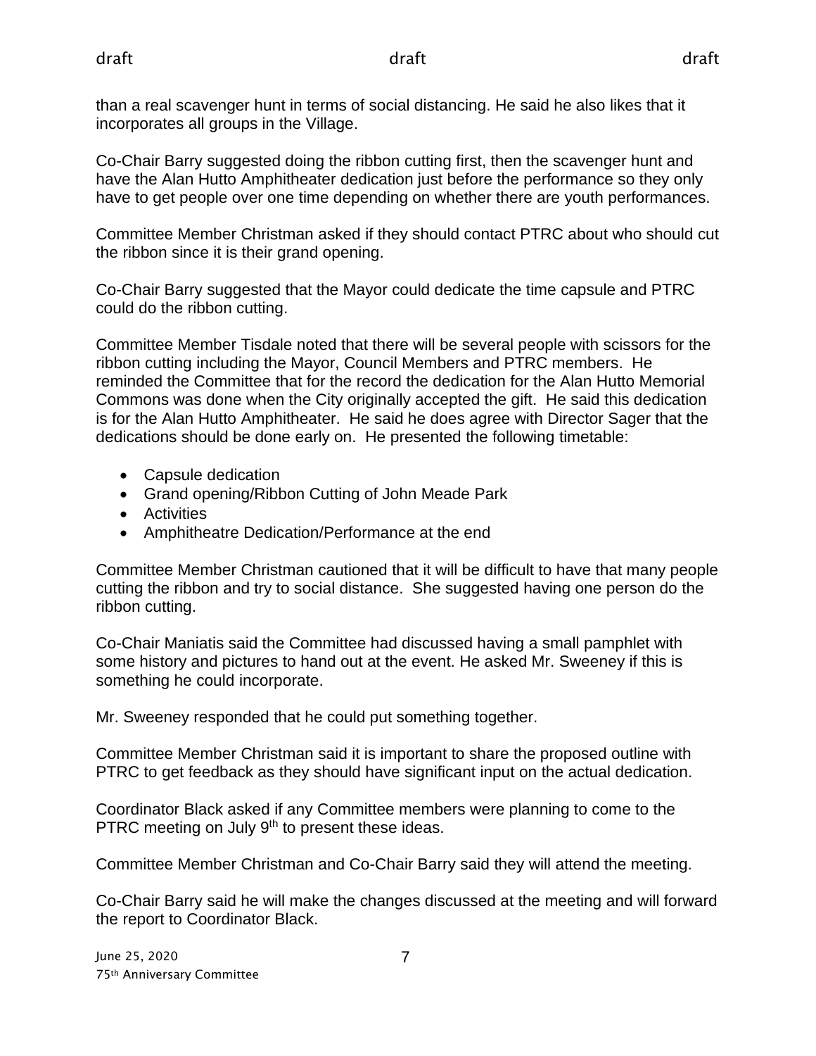than a real scavenger hunt in terms of social distancing. He said he also likes that it incorporates all groups in the Village.

Co-Chair Barry suggested doing the ribbon cutting first, then the scavenger hunt and have the Alan Hutto Amphitheater dedication just before the performance so they only have to get people over one time depending on whether there are youth performances.

Committee Member Christman asked if they should contact PTRC about who should cut the ribbon since it is their grand opening.

Co-Chair Barry suggested that the Mayor could dedicate the time capsule and PTRC could do the ribbon cutting.

Committee Member Tisdale noted that there will be several people with scissors for the ribbon cutting including the Mayor, Council Members and PTRC members. He reminded the Committee that for the record the dedication for the Alan Hutto Memorial Commons was done when the City originally accepted the gift. He said this dedication is for the Alan Hutto Amphitheater. He said he does agree with Director Sager that the dedications should be done early on. He presented the following timetable:

- Capsule dedication
- Grand opening/Ribbon Cutting of John Meade Park
- Activities
- Amphitheatre Dedication/Performance at the end

Committee Member Christman cautioned that it will be difficult to have that many people cutting the ribbon and try to social distance. She suggested having one person do the ribbon cutting.

Co-Chair Maniatis said the Committee had discussed having a small pamphlet with some history and pictures to hand out at the event. He asked Mr. Sweeney if this is something he could incorporate.

Mr. Sweeney responded that he could put something together.

Committee Member Christman said it is important to share the proposed outline with PTRC to get feedback as they should have significant input on the actual dedication.

Coordinator Black asked if any Committee members were planning to come to the PTRC meeting on July 9<sup>th</sup> to present these ideas.

Committee Member Christman and Co-Chair Barry said they will attend the meeting.

Co-Chair Barry said he will make the changes discussed at the meeting and will forward the report to Coordinator Black.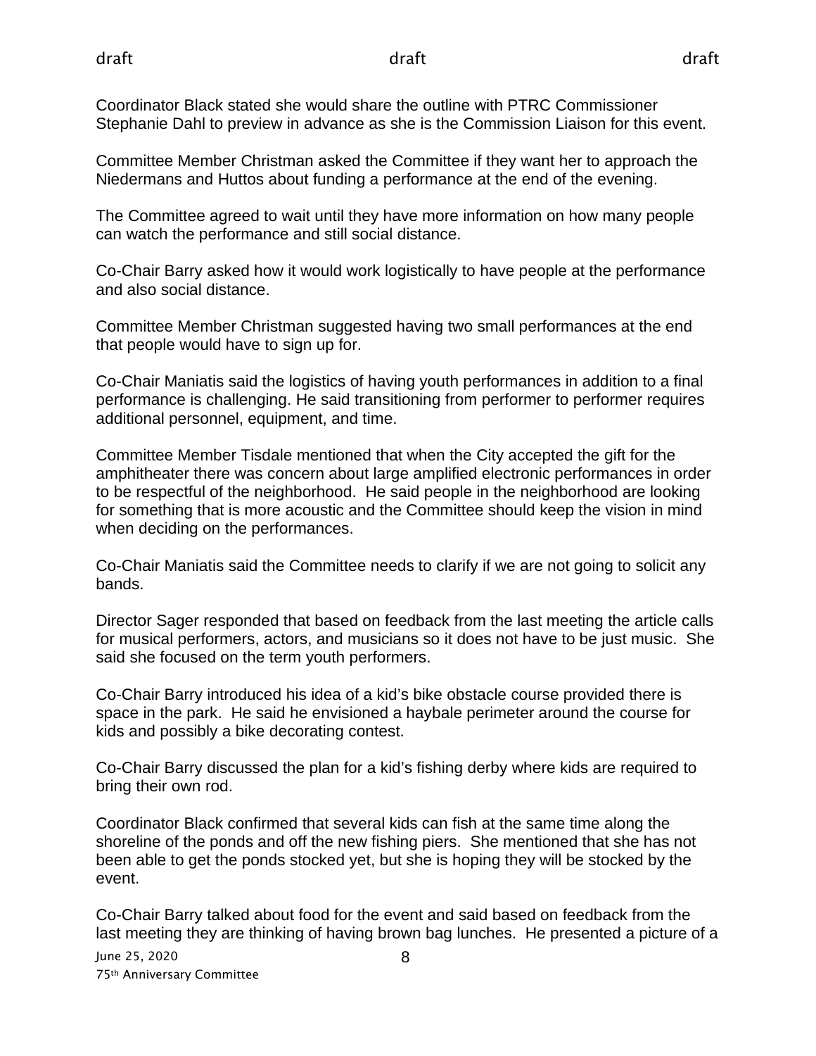Coordinator Black stated she would share the outline with PTRC Commissioner Stephanie Dahl to preview in advance as she is the Commission Liaison for this event.

Committee Member Christman asked the Committee if they want her to approach the Niedermans and Huttos about funding a performance at the end of the evening.

The Committee agreed to wait until they have more information on how many people can watch the performance and still social distance.

Co-Chair Barry asked how it would work logistically to have people at the performance and also social distance.

Committee Member Christman suggested having two small performances at the end that people would have to sign up for.

Co-Chair Maniatis said the logistics of having youth performances in addition to a final performance is challenging. He said transitioning from performer to performer requires additional personnel, equipment, and time.

Committee Member Tisdale mentioned that when the City accepted the gift for the amphitheater there was concern about large amplified electronic performances in order to be respectful of the neighborhood. He said people in the neighborhood are looking for something that is more acoustic and the Committee should keep the vision in mind when deciding on the performances.

Co-Chair Maniatis said the Committee needs to clarify if we are not going to solicit any bands.

Director Sager responded that based on feedback from the last meeting the article calls for musical performers, actors, and musicians so it does not have to be just music. She said she focused on the term youth performers.

Co-Chair Barry introduced his idea of a kid's bike obstacle course provided there is space in the park. He said he envisioned a haybale perimeter around the course for kids and possibly a bike decorating contest.

Co-Chair Barry discussed the plan for a kid's fishing derby where kids are required to bring their own rod.

Coordinator Black confirmed that several kids can fish at the same time along the shoreline of the ponds and off the new fishing piers. She mentioned that she has not been able to get the ponds stocked yet, but she is hoping they will be stocked by the event.

Co-Chair Barry talked about food for the event and said based on feedback from the last meeting they are thinking of having brown bag lunches. He presented a picture of a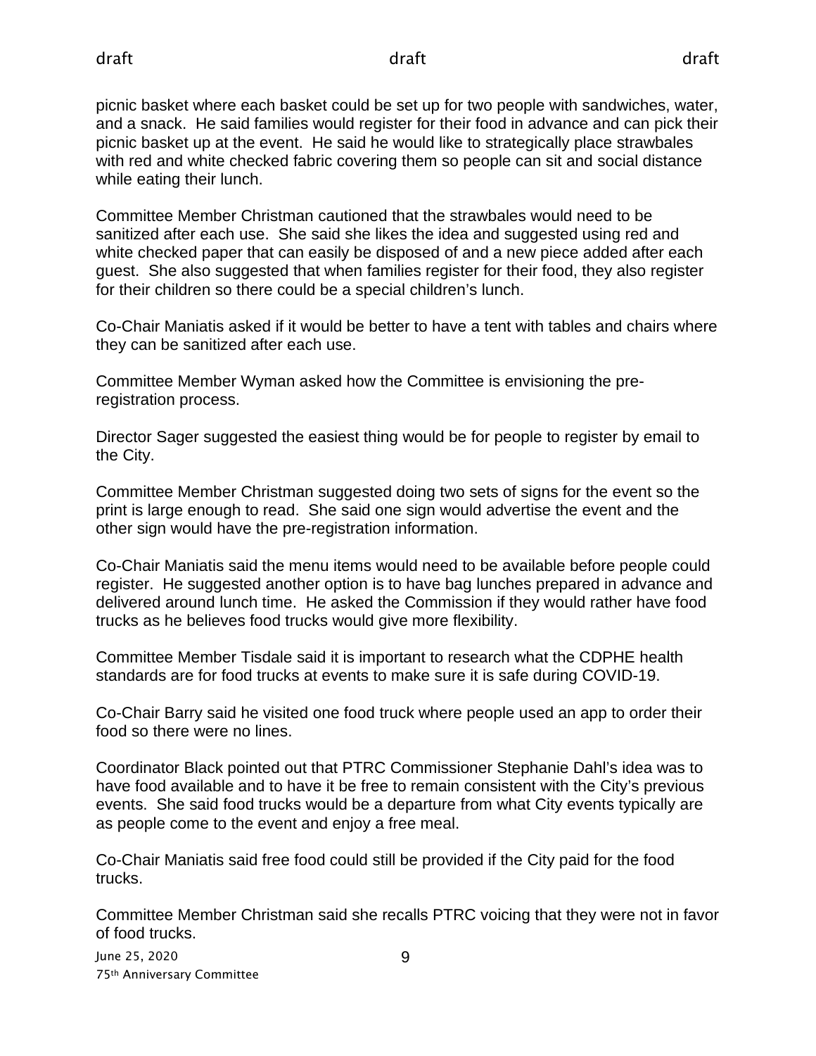picnic basket where each basket could be set up for two people with sandwiches, water, and a snack. He said families would register for their food in advance and can pick their picnic basket up at the event. He said he would like to strategically place strawbales with red and white checked fabric covering them so people can sit and social distance while eating their lunch.

Committee Member Christman cautioned that the strawbales would need to be sanitized after each use. She said she likes the idea and suggested using red and white checked paper that can easily be disposed of and a new piece added after each guest. She also suggested that when families register for their food, they also register for their children so there could be a special children's lunch.

Co-Chair Maniatis asked if it would be better to have a tent with tables and chairs where they can be sanitized after each use.

Committee Member Wyman asked how the Committee is envisioning the preregistration process.

Director Sager suggested the easiest thing would be for people to register by email to the City.

Committee Member Christman suggested doing two sets of signs for the event so the print is large enough to read. She said one sign would advertise the event and the other sign would have the pre-registration information.

Co-Chair Maniatis said the menu items would need to be available before people could register. He suggested another option is to have bag lunches prepared in advance and delivered around lunch time. He asked the Commission if they would rather have food trucks as he believes food trucks would give more flexibility.

Committee Member Tisdale said it is important to research what the CDPHE health standards are for food trucks at events to make sure it is safe during COVID-19.

Co-Chair Barry said he visited one food truck where people used an app to order their food so there were no lines.

Coordinator Black pointed out that PTRC Commissioner Stephanie Dahl's idea was to have food available and to have it be free to remain consistent with the City's previous events. She said food trucks would be a departure from what City events typically are as people come to the event and enjoy a free meal.

Co-Chair Maniatis said free food could still be provided if the City paid for the food trucks.

Committee Member Christman said she recalls PTRC voicing that they were not in favor of food trucks.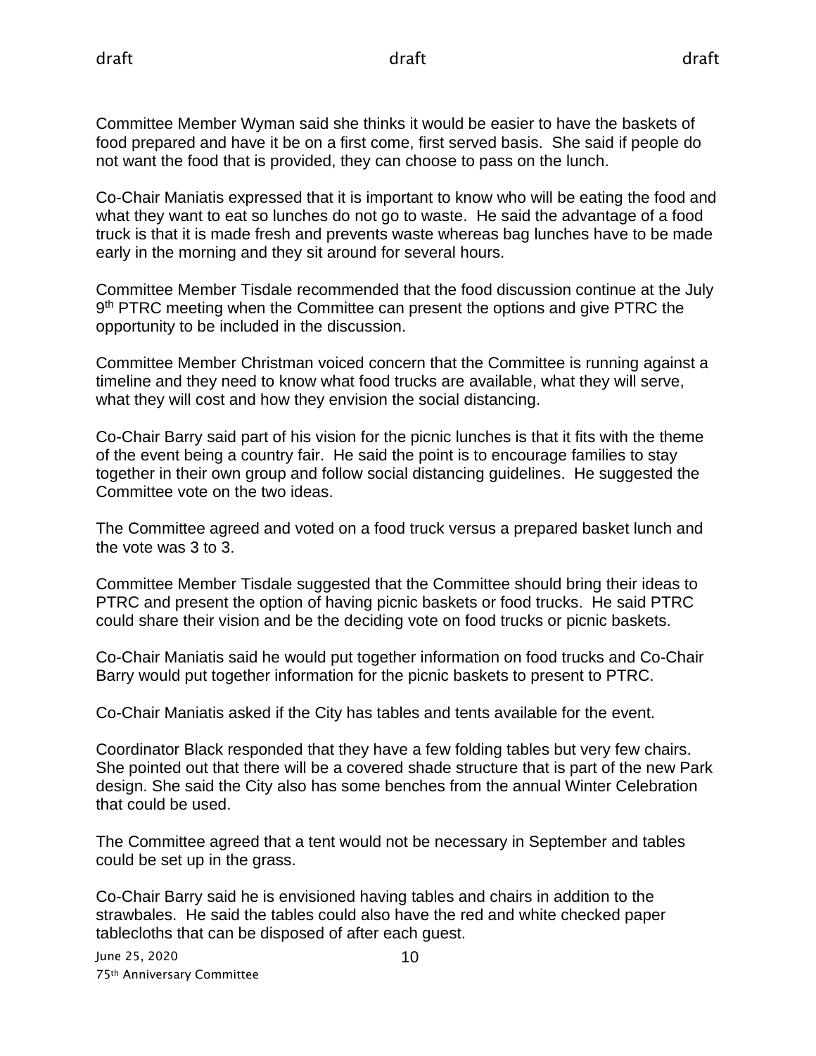Committee Member Wyman said she thinks it would be easier to have the baskets of food prepared and have it be on a first come, first served basis. She said if people do not want the food that is provided, they can choose to pass on the lunch.

Co-Chair Maniatis expressed that it is important to know who will be eating the food and what they want to eat so lunches do not go to waste. He said the advantage of a food truck is that it is made fresh and prevents waste whereas bag lunches have to be made early in the morning and they sit around for several hours.

Committee Member Tisdale recommended that the food discussion continue at the July 9<sup>th</sup> PTRC meeting when the Committee can present the options and give PTRC the opportunity to be included in the discussion.

Committee Member Christman voiced concern that the Committee is running against a timeline and they need to know what food trucks are available, what they will serve, what they will cost and how they envision the social distancing.

Co-Chair Barry said part of his vision for the picnic lunches is that it fits with the theme of the event being a country fair. He said the point is to encourage families to stay together in their own group and follow social distancing guidelines. He suggested the Committee vote on the two ideas.

The Committee agreed and voted on a food truck versus a prepared basket lunch and the vote was 3 to 3.

Committee Member Tisdale suggested that the Committee should bring their ideas to PTRC and present the option of having picnic baskets or food trucks. He said PTRC could share their vision and be the deciding vote on food trucks or picnic baskets.

Co-Chair Maniatis said he would put together information on food trucks and Co-Chair Barry would put together information for the picnic baskets to present to PTRC.

Co-Chair Maniatis asked if the City has tables and tents available for the event.

Coordinator Black responded that they have a few folding tables but very few chairs. She pointed out that there will be a covered shade structure that is part of the new Park design. She said the City also has some benches from the annual Winter Celebration that could be used.

The Committee agreed that a tent would not be necessary in September and tables could be set up in the grass.

Co-Chair Barry said he is envisioned having tables and chairs in addition to the strawbales. He said the tables could also have the red and white checked paper tablecloths that can be disposed of after each guest.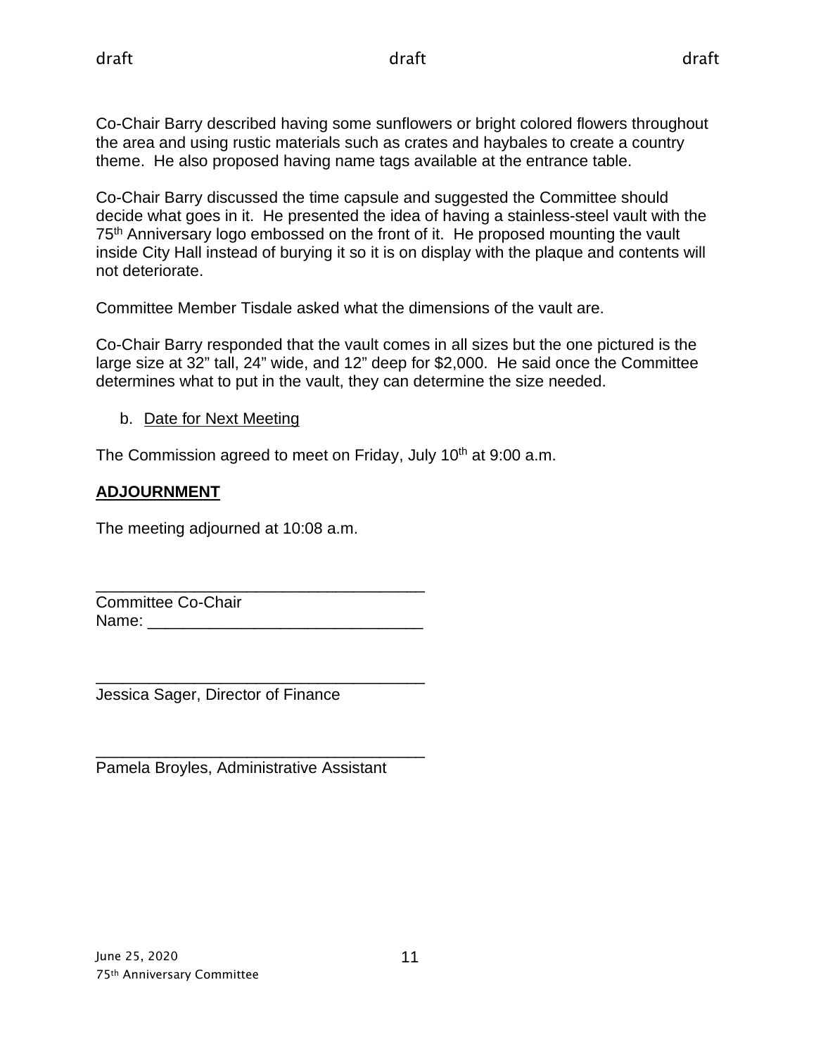Co-Chair Barry described having some sunflowers or bright colored flowers throughout the area and using rustic materials such as crates and haybales to create a country theme. He also proposed having name tags available at the entrance table.

Co-Chair Barry discussed the time capsule and suggested the Committee should decide what goes in it. He presented the idea of having a stainless-steel vault with the 75<sup>th</sup> Anniversary logo embossed on the front of it. He proposed mounting the vault inside City Hall instead of burying it so it is on display with the plaque and contents will not deteriorate.

Committee Member Tisdale asked what the dimensions of the vault are.

Co-Chair Barry responded that the vault comes in all sizes but the one pictured is the large size at 32" tall, 24" wide, and 12" deep for \$2,000. He said once the Committee determines what to put in the vault, they can determine the size needed.

b. Date for Next Meeting

The Commission agreed to meet on Friday, July 10<sup>th</sup> at 9:00 a.m.

## **ADJOURNMENT**

The meeting adjourned at 10:08 a.m.

\_\_\_\_\_\_\_\_\_\_\_\_\_\_\_\_\_\_\_\_\_\_\_\_\_\_\_\_\_\_\_\_\_\_\_\_\_ Committee Co-Chair Name: \_\_\_\_\_\_\_\_\_\_\_\_\_\_\_\_\_\_\_\_\_\_\_\_\_\_\_\_\_\_\_

\_\_\_\_\_\_\_\_\_\_\_\_\_\_\_\_\_\_\_\_\_\_\_\_\_\_\_\_\_\_\_\_\_\_\_\_\_ Jessica Sager, Director of Finance

\_\_\_\_\_\_\_\_\_\_\_\_\_\_\_\_\_\_\_\_\_\_\_\_\_\_\_\_\_\_\_\_\_\_\_\_\_ Pamela Broyles, Administrative Assistant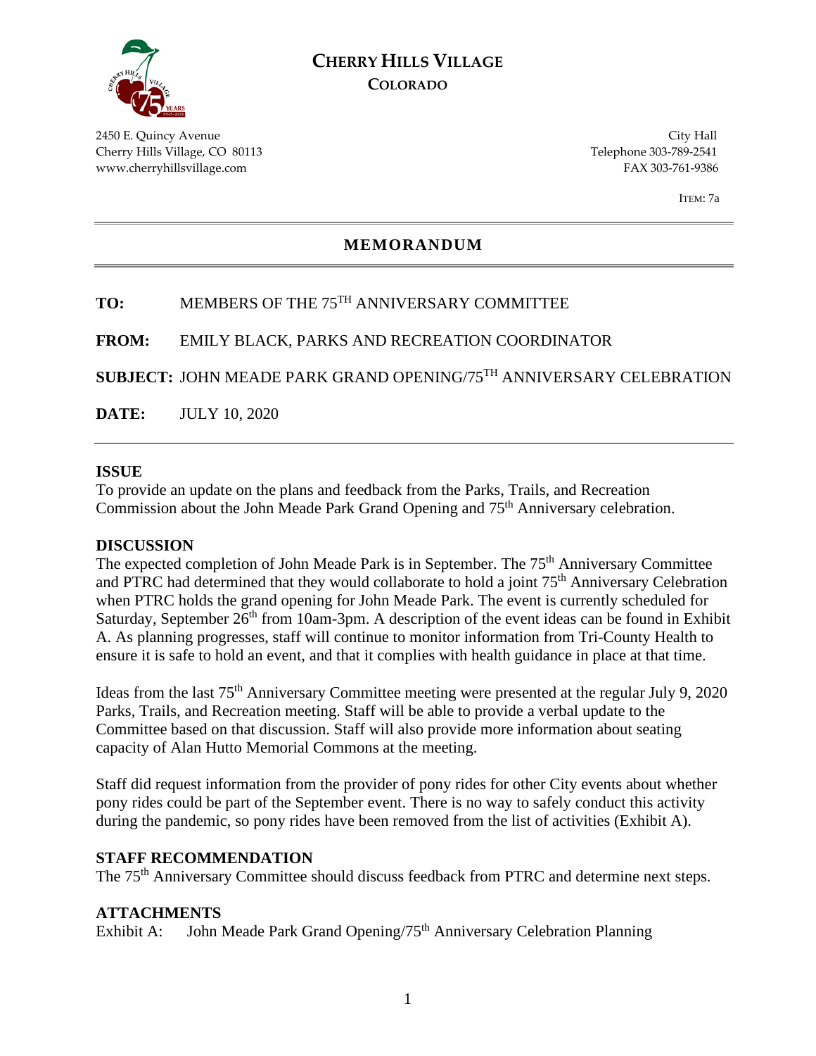

## **CHERRY HILLS VILLAGE COLORADO**

2450 E. Quincy Avenue City Hall Cherry Hills Village, CO 80113 Telephone 303-789-2541 www.cherryhillsvillage.com FAX 303-761-9386

ITEM: 7a

#### **MEMORANDUM**

## **TO:** MEMBERS OF THE 75TH ANNIVERSARY COMMITTEE

**FROM:** EMILY BLACK, PARKS AND RECREATION COORDINATOR

**SUBJECT:** JOHN MEADE PARK GRAND OPENING/75TH ANNIVERSARY CELEBRATION

**DATE:** JULY 10, 2020

#### **ISSUE**

To provide an update on the plans and feedback from the Parks, Trails, and Recreation Commission about the John Meade Park Grand Opening and 75<sup>th</sup> Anniversary celebration.

#### **DISCUSSION**

The expected completion of John Meade Park is in September. The 75<sup>th</sup> Anniversary Committee and PTRC had determined that they would collaborate to hold a joint 75th Anniversary Celebration when PTRC holds the grand opening for John Meade Park. The event is currently scheduled for Saturday, September 26<sup>th</sup> from 10am-3pm. A description of the event ideas can be found in Exhibit A. As planning progresses, staff will continue to monitor information from Tri-County Health to ensure it is safe to hold an event, and that it complies with health guidance in place at that time.

Ideas from the last 75<sup>th</sup> Anniversary Committee meeting were presented at the regular July 9, 2020 Parks, Trails, and Recreation meeting. Staff will be able to provide a verbal update to the Committee based on that discussion. Staff will also provide more information about seating capacity of Alan Hutto Memorial Commons at the meeting.

Staff did request information from the provider of pony rides for other City events about whether pony rides could be part of the September event. There is no way to safely conduct this activity during the pandemic, so pony rides have been removed from the list of activities (Exhibit A).

#### **STAFF RECOMMENDATION**

The 75<sup>th</sup> Anniversary Committee should discuss feedback from PTRC and determine next steps.

#### **ATTACHMENTS**

Exhibit A: John Meade Park Grand Opening/75<sup>th</sup> Anniversary Celebration Planning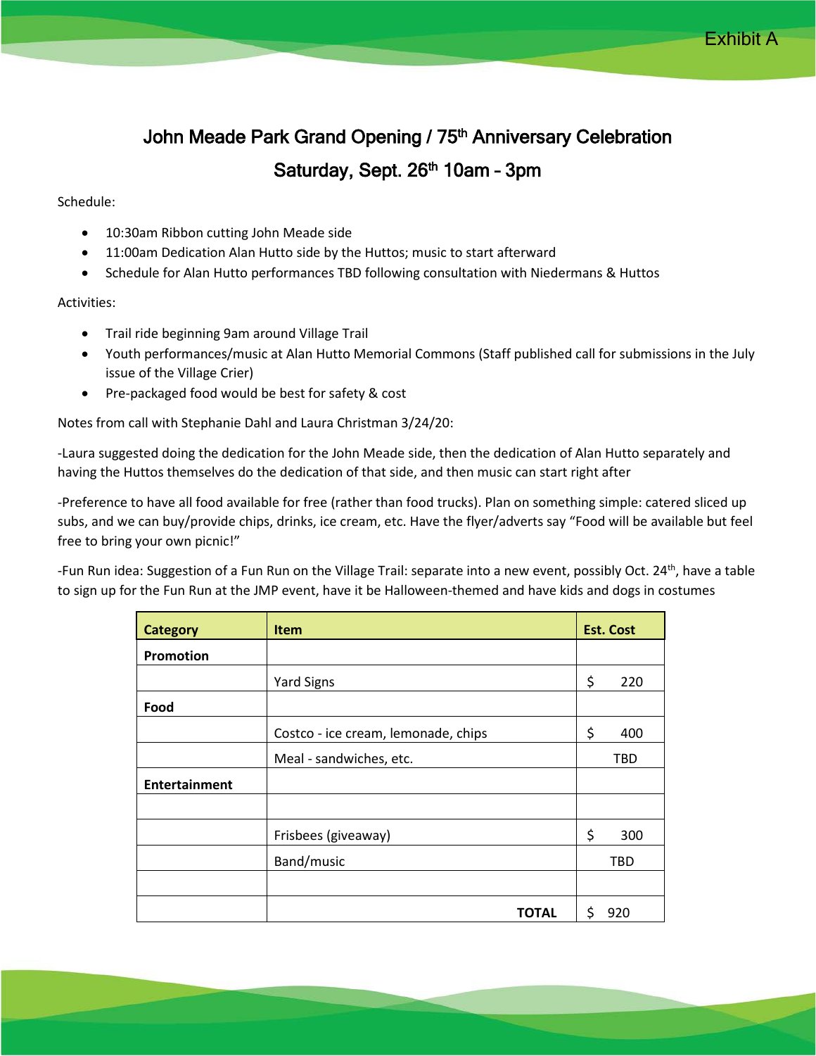# John Meade Park Grand Opening / 75<sup>th</sup> Anniversary Celebration Saturday, Sept. 26<sup>th</sup> 10am - 3pm

#### Schedule:

- 10:30am Ribbon cutting John Meade side
- 11:00am Dedication Alan Hutto side by the Huttos; music to start afterward
- Schedule for Alan Hutto performances TBD following consultation with Niedermans & Huttos

#### Activities:

- Trail ride beginning 9am around Village Trail
- Youth performances/music at Alan Hutto Memorial Commons (Staff published call for submissions in the July issue of the Village Crier)
- Pre-packaged food would be best for safety & cost

Notes from call with Stephanie Dahl and Laura Christman 3/24/20:

-Laura suggested doing the dedication for the John Meade side, then the dedication of Alan Hutto separately and having the Huttos themselves do the dedication of that side, and then music can start right after

-Preference to have all food available for free (rather than food trucks). Plan on something simple: catered sliced up subs, and we can buy/provide chips, drinks, ice cream, etc. Have the flyer/adverts say "Food will be available but feel free to bring your own picnic!"

-Fun Run idea: Suggestion of a Fun Run on the Village Trail: separate into a new event, possibly Oct. 24<sup>th</sup>, have a table to sign up for the Fun Run at the JMP event, have it be Halloween-themed and have kids and dogs in costumes

| <b>Category</b>      | <b>Item</b>                         | <b>Est. Cost</b> |
|----------------------|-------------------------------------|------------------|
| <b>Promotion</b>     |                                     |                  |
|                      | <b>Yard Signs</b>                   | \$<br>220        |
| Food                 |                                     |                  |
|                      | Costco - ice cream, lemonade, chips | \$<br>400        |
|                      | Meal - sandwiches, etc.             | TBD              |
| <b>Entertainment</b> |                                     |                  |
|                      |                                     |                  |
|                      | Frisbees (giveaway)                 | \$<br>300        |
|                      | Band/music                          | TBD              |
|                      |                                     |                  |
|                      | <b>TOTAL</b>                        | \$<br>920        |